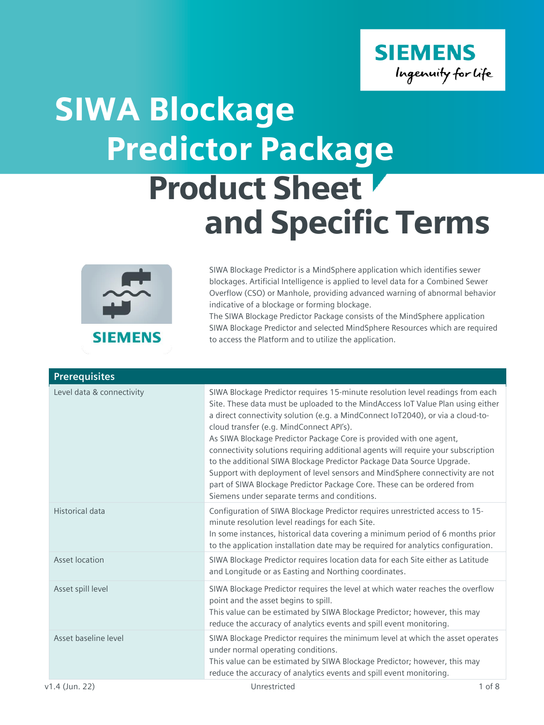

## Product Sheet and Specific Terms SIWA Blockage Predictor Package



SIWA Blockage Predictor is a MindSphere application which identifies sewer blockages. Artificial Intelligence is applied to level data for a Combined Sewer Overflow (CSO) or Manhole, providing advanced warning of abnormal behavior indicative of a blockage or forming blockage.

The SIWA Blockage Predictor Package consists of the MindSphere application SIWA Blockage Predictor and selected MindSphere Resources which are required to access the Platform and to utilize the application.

| <b>Prerequisites</b>      |                                                                                                                                                                                                                                                                                                                                                                                                                                                                                                                                                                                                                                                                                                                                                   |
|---------------------------|---------------------------------------------------------------------------------------------------------------------------------------------------------------------------------------------------------------------------------------------------------------------------------------------------------------------------------------------------------------------------------------------------------------------------------------------------------------------------------------------------------------------------------------------------------------------------------------------------------------------------------------------------------------------------------------------------------------------------------------------------|
| Level data & connectivity | SIWA Blockage Predictor requires 15-minute resolution level readings from each<br>Site. These data must be uploaded to the MindAccess IoT Value Plan using either<br>a direct connectivity solution (e.g. a MindConnect IoT2040), or via a cloud-to-<br>cloud transfer (e.g. MindConnect API's).<br>As SIWA Blockage Predictor Package Core is provided with one agent,<br>connectivity solutions requiring additional agents will require your subscription<br>to the additional SIWA Blockage Predictor Package Data Source Upgrade.<br>Support with deployment of level sensors and MindSphere connectivity are not<br>part of SIWA Blockage Predictor Package Core. These can be ordered from<br>Siemens under separate terms and conditions. |
| Historical data           | Configuration of SIWA Blockage Predictor requires unrestricted access to 15-<br>minute resolution level readings for each Site.<br>In some instances, historical data covering a minimum period of 6 months prior<br>to the application installation date may be required for analytics configuration.                                                                                                                                                                                                                                                                                                                                                                                                                                            |
| Asset location            | SIWA Blockage Predictor requires location data for each Site either as Latitude<br>and Longitude or as Easting and Northing coordinates.                                                                                                                                                                                                                                                                                                                                                                                                                                                                                                                                                                                                          |
| Asset spill level         | SIWA Blockage Predictor requires the level at which water reaches the overflow<br>point and the asset begins to spill.<br>This value can be estimated by SIWA Blockage Predictor; however, this may<br>reduce the accuracy of analytics events and spill event monitoring.                                                                                                                                                                                                                                                                                                                                                                                                                                                                        |
| Asset baseline level      | SIWA Blockage Predictor requires the minimum level at which the asset operates<br>under normal operating conditions.<br>This value can be estimated by SIWA Blockage Predictor; however, this may<br>reduce the accuracy of analytics events and spill event monitoring.                                                                                                                                                                                                                                                                                                                                                                                                                                                                          |
| v1.4 (Jun. 22)            | $1$ of $8$<br>Unrestricted                                                                                                                                                                                                                                                                                                                                                                                                                                                                                                                                                                                                                                                                                                                        |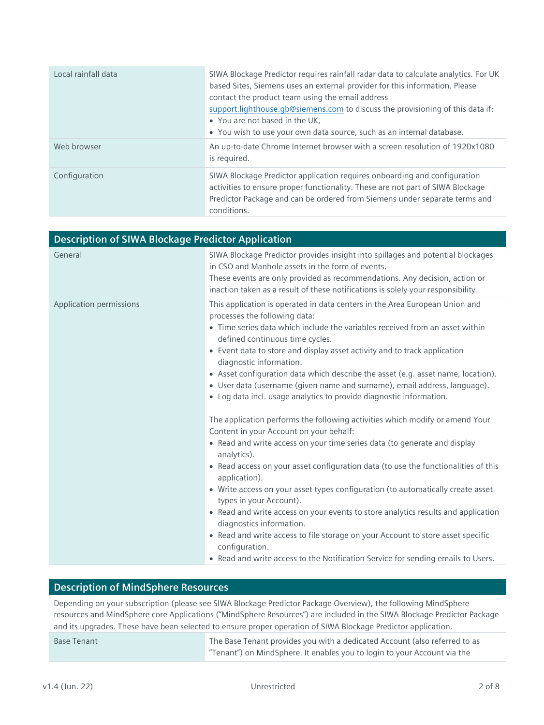| Local rainfall data | SIWA Blockage Predictor requires rainfall radar data to calculate analytics. For UK<br>based Sites, Siemens uses an external provider for this information. Please<br>contact the product team using the email address<br>support.lighthouse.gb@siemens.com to discuss the provisioning of this data if:<br>• You are not based in the UK,<br>• You wish to use your own data source, such as an internal database. |
|---------------------|---------------------------------------------------------------------------------------------------------------------------------------------------------------------------------------------------------------------------------------------------------------------------------------------------------------------------------------------------------------------------------------------------------------------|
| Web browser         | An up-to-date Chrome Internet browser with a screen resolution of 1920x1080<br>is required.                                                                                                                                                                                                                                                                                                                         |
| Configuration       | SIWA Blockage Predictor application requires onboarding and configuration<br>activities to ensure proper functionality. These are not part of SIWA Blockage<br>Predictor Package and can be ordered from Siemens under separate terms and<br>conditions.                                                                                                                                                            |

| <b>Description of SIWA Blockage Predictor Application</b> |                                                                                                                                                                                                                                                                                                                                                                                                                                                                                                                                                                                                                                                                                                                                                                                                                                                                                                                                                                                                                                                                                                                                                                                                                                                                                                                                       |  |
|-----------------------------------------------------------|---------------------------------------------------------------------------------------------------------------------------------------------------------------------------------------------------------------------------------------------------------------------------------------------------------------------------------------------------------------------------------------------------------------------------------------------------------------------------------------------------------------------------------------------------------------------------------------------------------------------------------------------------------------------------------------------------------------------------------------------------------------------------------------------------------------------------------------------------------------------------------------------------------------------------------------------------------------------------------------------------------------------------------------------------------------------------------------------------------------------------------------------------------------------------------------------------------------------------------------------------------------------------------------------------------------------------------------|--|
| General                                                   | SIWA Blockage Predictor provides insight into spillages and potential blockages<br>in CSO and Manhole assets in the form of events.<br>These events are only provided as recommendations. Any decision, action or<br>inaction taken as a result of these notifications is solely your responsibility.                                                                                                                                                                                                                                                                                                                                                                                                                                                                                                                                                                                                                                                                                                                                                                                                                                                                                                                                                                                                                                 |  |
| Application permissions                                   | This application is operated in data centers in the Area European Union and<br>processes the following data:<br>• Time series data which include the variables received from an asset within<br>defined continuous time cycles.<br>• Event data to store and display asset activity and to track application<br>diagnostic information.<br>• Asset configuration data which describe the asset (e.g. asset name, location).<br>• User data (username (given name and surname), email address, language).<br>• Log data incl. usage analytics to provide diagnostic information.<br>The application performs the following activities which modify or amend Your<br>Content in your Account on your behalf:<br>• Read and write access on your time series data (to generate and display<br>analytics).<br>• Read access on your asset configuration data (to use the functionalities of this<br>application).<br>• Write access on your asset types configuration (to automatically create asset<br>types in your Account).<br>• Read and write access on your events to store analytics results and application<br>diagnostics information.<br>• Read and write access to file storage on your Account to store asset specific<br>configuration.<br>• Read and write access to the Notification Service for sending emails to Users. |  |

## **Description of MindSphere Resources**

Depending on your subscription (please see SIWA Blockage Predictor Package Overview), the following MindSphere resources and MindSphere core Applications ("MindSphere Resources") are included in the SIWA Blockage Predictor Package and its upgrades. These have been selected to ensure proper operation of SIWA Blockage Predictor application.

Base Tenant The Base Tenant provides you with a dedicated Account (also referred to as "Tenant") on MindSphere. It enables you to login to your Account via the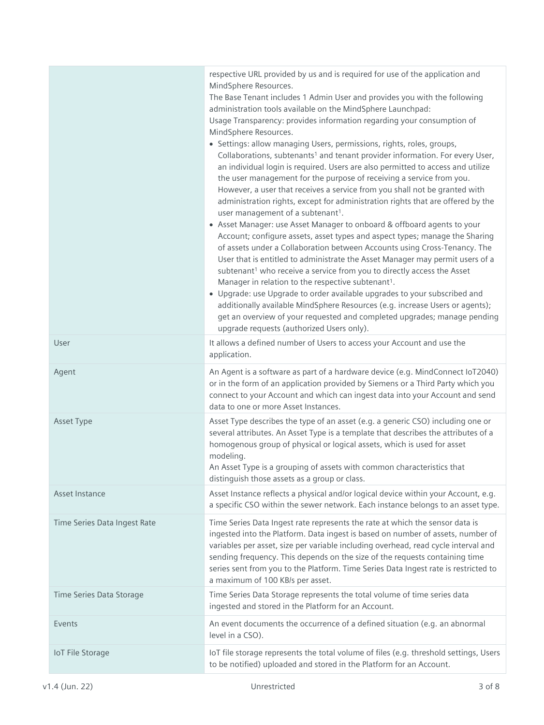|                              | respective URL provided by us and is required for use of the application and<br>MindSphere Resources.<br>The Base Tenant includes 1 Admin User and provides you with the following<br>administration tools available on the MindSphere Launchpad:<br>Usage Transparency: provides information regarding your consumption of<br>MindSphere Resources.<br>• Settings: allow managing Users, permissions, rights, roles, groups,<br>Collaborations, subtenants <sup>1</sup> and tenant provider information. For every User,<br>an individual login is required. Users are also permitted to access and utilize<br>the user management for the purpose of receiving a service from you.<br>However, a user that receives a service from you shall not be granted with<br>administration rights, except for administration rights that are offered by the<br>user management of a subtenant <sup>1</sup> .<br>• Asset Manager: use Asset Manager to onboard & offboard agents to your<br>Account; configure assets, asset types and aspect types; manage the Sharing<br>of assets under a Collaboration between Accounts using Cross-Tenancy. The<br>User that is entitled to administrate the Asset Manager may permit users of a<br>subtenant <sup>1</sup> who receive a service from you to directly access the Asset<br>Manager in relation to the respective subtenant <sup>1</sup> .<br>• Upgrade: use Upgrade to order available upgrades to your subscribed and<br>additionally available MindSphere Resources (e.g. increase Users or agents);<br>get an overview of your requested and completed upgrades; manage pending<br>upgrade requests (authorized Users only). |
|------------------------------|------------------------------------------------------------------------------------------------------------------------------------------------------------------------------------------------------------------------------------------------------------------------------------------------------------------------------------------------------------------------------------------------------------------------------------------------------------------------------------------------------------------------------------------------------------------------------------------------------------------------------------------------------------------------------------------------------------------------------------------------------------------------------------------------------------------------------------------------------------------------------------------------------------------------------------------------------------------------------------------------------------------------------------------------------------------------------------------------------------------------------------------------------------------------------------------------------------------------------------------------------------------------------------------------------------------------------------------------------------------------------------------------------------------------------------------------------------------------------------------------------------------------------------------------------------------------------------------------------------------------------------------------------------------------------|
| User                         | It allows a defined number of Users to access your Account and use the<br>application.                                                                                                                                                                                                                                                                                                                                                                                                                                                                                                                                                                                                                                                                                                                                                                                                                                                                                                                                                                                                                                                                                                                                                                                                                                                                                                                                                                                                                                                                                                                                                                                       |
| Agent                        | An Agent is a software as part of a hardware device (e.g. MindConnect IoT2040)<br>or in the form of an application provided by Siemens or a Third Party which you<br>connect to your Account and which can ingest data into your Account and send<br>data to one or more Asset Instances.                                                                                                                                                                                                                                                                                                                                                                                                                                                                                                                                                                                                                                                                                                                                                                                                                                                                                                                                                                                                                                                                                                                                                                                                                                                                                                                                                                                    |
| Asset Type                   | Asset Type describes the type of an asset (e.g. a generic CSO) including one or<br>several attributes. An Asset Type is a template that describes the attributes of a<br>homogenous group of physical or logical assets, which is used for asset<br>modeling.<br>An Asset Type is a grouping of assets with common characteristics that<br>distinguish those assets as a group or class.                                                                                                                                                                                                                                                                                                                                                                                                                                                                                                                                                                                                                                                                                                                                                                                                                                                                                                                                                                                                                                                                                                                                                                                                                                                                                     |
| Asset Instance               | Asset Instance reflects a physical and/or logical device within your Account, e.g.<br>a specific CSO within the sewer network. Each instance belongs to an asset type.                                                                                                                                                                                                                                                                                                                                                                                                                                                                                                                                                                                                                                                                                                                                                                                                                                                                                                                                                                                                                                                                                                                                                                                                                                                                                                                                                                                                                                                                                                       |
| Time Series Data Ingest Rate | Time Series Data Ingest rate represents the rate at which the sensor data is<br>ingested into the Platform. Data ingest is based on number of assets, number of<br>variables per asset, size per variable including overhead, read cycle interval and<br>sending frequency. This depends on the size of the requests containing time<br>series sent from you to the Platform. Time Series Data Ingest rate is restricted to<br>a maximum of 100 KB/s per asset.                                                                                                                                                                                                                                                                                                                                                                                                                                                                                                                                                                                                                                                                                                                                                                                                                                                                                                                                                                                                                                                                                                                                                                                                              |
| Time Series Data Storage     | Time Series Data Storage represents the total volume of time series data<br>ingested and stored in the Platform for an Account.                                                                                                                                                                                                                                                                                                                                                                                                                                                                                                                                                                                                                                                                                                                                                                                                                                                                                                                                                                                                                                                                                                                                                                                                                                                                                                                                                                                                                                                                                                                                              |
| Events                       | An event documents the occurrence of a defined situation (e.g. an abnormal<br>level in a CSO).                                                                                                                                                                                                                                                                                                                                                                                                                                                                                                                                                                                                                                                                                                                                                                                                                                                                                                                                                                                                                                                                                                                                                                                                                                                                                                                                                                                                                                                                                                                                                                               |
| <b>IoT File Storage</b>      | IoT file storage represents the total volume of files (e.g. threshold settings, Users<br>to be notified) uploaded and stored in the Platform for an Account.                                                                                                                                                                                                                                                                                                                                                                                                                                                                                                                                                                                                                                                                                                                                                                                                                                                                                                                                                                                                                                                                                                                                                                                                                                                                                                                                                                                                                                                                                                                 |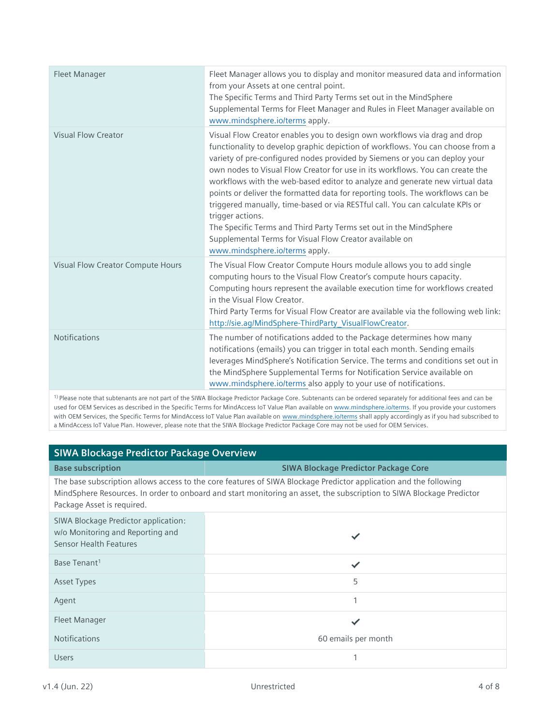| Fleet Manager                     | Fleet Manager allows you to display and monitor measured data and information<br>from your Assets at one central point.<br>The Specific Terms and Third Party Terms set out in the MindSphere<br>Supplemental Terms for Fleet Manager and Rules in Fleet Manager available on<br>www.mindsphere.io/terms apply.                                                                                                                                                                                                                                                                                                                                                                                                                                                      |
|-----------------------------------|----------------------------------------------------------------------------------------------------------------------------------------------------------------------------------------------------------------------------------------------------------------------------------------------------------------------------------------------------------------------------------------------------------------------------------------------------------------------------------------------------------------------------------------------------------------------------------------------------------------------------------------------------------------------------------------------------------------------------------------------------------------------|
| <b>Visual Flow Creator</b>        | Visual Flow Creator enables you to design own workflows via drag and drop<br>functionality to develop graphic depiction of workflows. You can choose from a<br>variety of pre-configured nodes provided by Siemens or you can deploy your<br>own nodes to Visual Flow Creator for use in its workflows. You can create the<br>workflows with the web-based editor to analyze and generate new virtual data<br>points or deliver the formatted data for reporting tools. The workflows can be<br>triggered manually, time-based or via RESTful call. You can calculate KPIs or<br>trigger actions.<br>The Specific Terms and Third Party Terms set out in the MindSphere<br>Supplemental Terms for Visual Flow Creator available on<br>www.mindsphere.io/terms apply. |
| Visual Flow Creator Compute Hours | The Visual Flow Creator Compute Hours module allows you to add single<br>computing hours to the Visual Flow Creator's compute hours capacity.<br>Computing hours represent the available execution time for workflows created<br>in the Visual Flow Creator.<br>Third Party Terms for Visual Flow Creator are available via the following web link:<br>http://sie.ag/MindSphere-ThirdParty VisualFlowCreator.                                                                                                                                                                                                                                                                                                                                                        |
| <b>Notifications</b>              | The number of notifications added to the Package determines how many<br>notifications (emails) you can trigger in total each month. Sending emails<br>leverages MindSphere's Notification Service. The terms and conditions set out in<br>the MindSphere Supplemental Terms for Notification Service available on<br>www.mindsphere.io/terms also apply to your use of notifications.                                                                                                                                                                                                                                                                                                                                                                                |

1) Please note that subtenants are not part of the SIWA Blockage Predictor Package Core. Subtenants can be ordered separately for additional fees and can be used for OEM Services as described in the Specific Terms for MindAccess IoT Value Plan available on [www.mindsphere.io/terms.](http://www.mindsphere.io/terms) If you provide your customers with OEM Services, the Specific Terms for MindAccess IoT Value Plan available on [www.mindsphere.io/terms](http://www.mindsphere.io/terms) shall apply accordingly as if you had subscribed to a MindAccess IoT Value Plan. However, please note that the SIWA Blockage Predictor Package Core may not be used for OEM Services.

## **SIWA Blockage Predictor Package Overview**

## **Base subscription SIWA Blockage Predictor Package Core** The base subscription allows access to the core features of SIWA Blockage Predictor application and the following

MindSphere Resources. In order to onboard and start monitoring an asset, the subscription to SIWA Blockage Predictor Package Asset is required.

| SIWA Blockage Predictor application:<br>w/o Monitoring and Reporting and<br><b>Sensor Health Features</b> |                     |
|-----------------------------------------------------------------------------------------------------------|---------------------|
| Base Tenant <sup>1</sup>                                                                                  |                     |
| <b>Asset Types</b>                                                                                        | 5                   |
| Agent                                                                                                     | 1                   |
| Fleet Manager                                                                                             |                     |
| <b>Notifications</b>                                                                                      | 60 emails per month |
| <b>Users</b>                                                                                              | 1                   |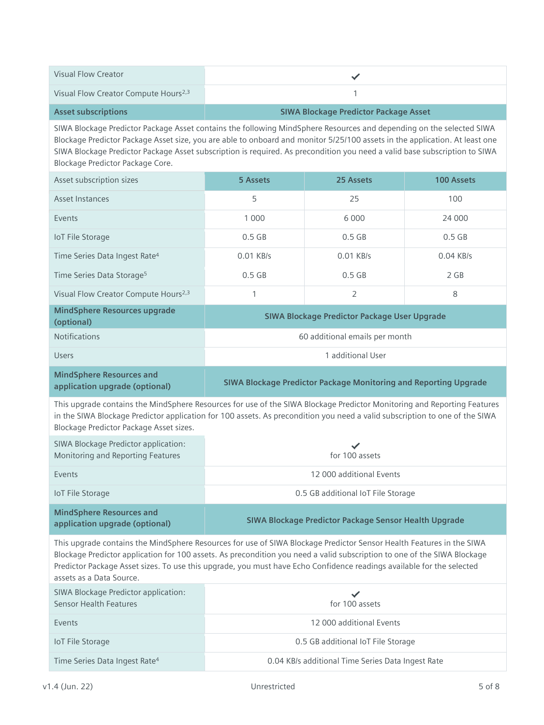| <b>Visual Flow Creator</b>                                                                                                                                                                                                                                                                                                                                                                                            |                                                   | ✓                                                                |            |
|-----------------------------------------------------------------------------------------------------------------------------------------------------------------------------------------------------------------------------------------------------------------------------------------------------------------------------------------------------------------------------------------------------------------------|---------------------------------------------------|------------------------------------------------------------------|------------|
| Visual Flow Creator Compute Hours <sup>2,3</sup>                                                                                                                                                                                                                                                                                                                                                                      | 1                                                 |                                                                  |            |
| <b>Asset subscriptions</b>                                                                                                                                                                                                                                                                                                                                                                                            |                                                   | <b>SIWA Blockage Predictor Package Asset</b>                     |            |
| SIWA Blockage Predictor Package Asset contains the following MindSphere Resources and depending on the selected SIWA<br>Blockage Predictor Package Asset size, you are able to onboard and monitor 5/25/100 assets in the application. At least one<br>SIWA Blockage Predictor Package Asset subscription is required. As precondition you need a valid base subscription to SIWA<br>Blockage Predictor Package Core. |                                                   |                                                                  |            |
| Asset subscription sizes                                                                                                                                                                                                                                                                                                                                                                                              | 5 Assets                                          | 25 Assets                                                        | 100 Assets |
| <b>Asset Instances</b>                                                                                                                                                                                                                                                                                                                                                                                                | 5                                                 | 25                                                               | 100        |
| Events                                                                                                                                                                                                                                                                                                                                                                                                                | 1 0 0 0                                           | 6 0 0 0                                                          | 24 000     |
| IoT File Storage                                                                                                                                                                                                                                                                                                                                                                                                      | $0.5$ GB                                          | $0.5$ GB                                                         | $0.5$ GB   |
| Time Series Data Ingest Rate <sup>4</sup>                                                                                                                                                                                                                                                                                                                                                                             | 0.01 KB/s                                         | 0.01 KB/s                                                        | 0.04 KB/s  |
| Time Series Data Storage <sup>5</sup>                                                                                                                                                                                                                                                                                                                                                                                 | $0.5$ GB                                          | $0.5$ GB                                                         | 2 GB       |
| Visual Flow Creator Compute Hours <sup>2,3</sup>                                                                                                                                                                                                                                                                                                                                                                      | 1                                                 | 2                                                                | 8          |
| <b>MindSphere Resources upgrade</b><br>(optional)                                                                                                                                                                                                                                                                                                                                                                     |                                                   | SIWA Blockage Predictor Package User Upgrade                     |            |
| <b>Notifications</b>                                                                                                                                                                                                                                                                                                                                                                                                  | 60 additional emails per month                    |                                                                  |            |
| <b>Users</b>                                                                                                                                                                                                                                                                                                                                                                                                          | 1 additional User                                 |                                                                  |            |
| <b>MindSphere Resources and</b><br>application upgrade (optional)                                                                                                                                                                                                                                                                                                                                                     |                                                   | SIWA Blockage Predictor Package Monitoring and Reporting Upgrade |            |
| This upgrade contains the MindSphere Resources for use of the SIWA Blockage Predictor Monitoring and Reporting Features<br>in the SIWA Blockage Predictor application for 100 assets. As precondition you need a valid subscription to one of the SIWA<br>Blockage Predictor Package Asset sizes.                                                                                                                     |                                                   |                                                                  |            |
| SIWA Blockage Predictor application:<br>Monitoring and Reporting Features                                                                                                                                                                                                                                                                                                                                             | for 100 assets                                    |                                                                  |            |
| Events                                                                                                                                                                                                                                                                                                                                                                                                                | 12 000 additional Events                          |                                                                  |            |
| <b>IoT File Storage</b>                                                                                                                                                                                                                                                                                                                                                                                               |                                                   | 0.5 GB additional IoT File Storage                               |            |
| <b>MindSphere Resources and</b><br>application upgrade (optional)                                                                                                                                                                                                                                                                                                                                                     |                                                   | SIWA Blockage Predictor Package Sensor Health Upgrade            |            |
| This upgrade contains the MindSphere Resources for use of SIWA Blockage Predictor Sensor Health Features in the SIWA<br>Blockage Predictor application for 100 assets. As precondition you need a valid subscription to one of the SIWA Blockage<br>Predictor Package Asset sizes. To use this upgrade, you must have Echo Confidence readings available for the selected<br>assets as a Data Source.                 |                                                   |                                                                  |            |
| SIWA Blockage Predictor application:<br><b>Sensor Health Features</b>                                                                                                                                                                                                                                                                                                                                                 |                                                   | for 100 assets                                                   |            |
| Events                                                                                                                                                                                                                                                                                                                                                                                                                | 12 000 additional Events                          |                                                                  |            |
| <b>IoT File Storage</b>                                                                                                                                                                                                                                                                                                                                                                                               | 0.5 GB additional IoT File Storage                |                                                                  |            |
| Time Series Data Ingest Rate <sup>4</sup>                                                                                                                                                                                                                                                                                                                                                                             | 0.04 KB/s additional Time Series Data Ingest Rate |                                                                  |            |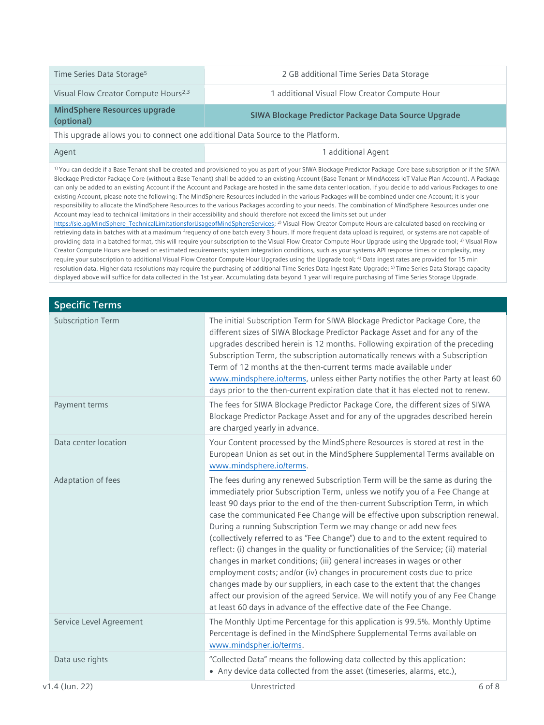| Time Series Data Storage <sup>5</sup>                                          | 2 GB additional Time Series Data Storage                                                                                                                                                                                                                                                                                                                                                                                                                                                                                                                                                                                                                                                                                                                                                                                                                                                                                                                                                                                                                                                                                                                                                                                                                                                                                                                                                                                                                                                                                                                                                                                                                                                                                                                                                                                                                                                                                                                                                                                                                                                                                                       |  |
|--------------------------------------------------------------------------------|------------------------------------------------------------------------------------------------------------------------------------------------------------------------------------------------------------------------------------------------------------------------------------------------------------------------------------------------------------------------------------------------------------------------------------------------------------------------------------------------------------------------------------------------------------------------------------------------------------------------------------------------------------------------------------------------------------------------------------------------------------------------------------------------------------------------------------------------------------------------------------------------------------------------------------------------------------------------------------------------------------------------------------------------------------------------------------------------------------------------------------------------------------------------------------------------------------------------------------------------------------------------------------------------------------------------------------------------------------------------------------------------------------------------------------------------------------------------------------------------------------------------------------------------------------------------------------------------------------------------------------------------------------------------------------------------------------------------------------------------------------------------------------------------------------------------------------------------------------------------------------------------------------------------------------------------------------------------------------------------------------------------------------------------------------------------------------------------------------------------------------------------|--|
| Visual Flow Creator Compute Hours <sup>2,3</sup>                               | 1 additional Visual Flow Creator Compute Hour                                                                                                                                                                                                                                                                                                                                                                                                                                                                                                                                                                                                                                                                                                                                                                                                                                                                                                                                                                                                                                                                                                                                                                                                                                                                                                                                                                                                                                                                                                                                                                                                                                                                                                                                                                                                                                                                                                                                                                                                                                                                                                  |  |
| <b>MindSphere Resources upgrade</b><br>(optional)                              | SIWA Blockage Predictor Package Data Source Upgrade                                                                                                                                                                                                                                                                                                                                                                                                                                                                                                                                                                                                                                                                                                                                                                                                                                                                                                                                                                                                                                                                                                                                                                                                                                                                                                                                                                                                                                                                                                                                                                                                                                                                                                                                                                                                                                                                                                                                                                                                                                                                                            |  |
| This upgrade allows you to connect one additional Data Source to the Platform. |                                                                                                                                                                                                                                                                                                                                                                                                                                                                                                                                                                                                                                                                                                                                                                                                                                                                                                                                                                                                                                                                                                                                                                                                                                                                                                                                                                                                                                                                                                                                                                                                                                                                                                                                                                                                                                                                                                                                                                                                                                                                                                                                                |  |
| Agent                                                                          | 1 additional Agent                                                                                                                                                                                                                                                                                                                                                                                                                                                                                                                                                                                                                                                                                                                                                                                                                                                                                                                                                                                                                                                                                                                                                                                                                                                                                                                                                                                                                                                                                                                                                                                                                                                                                                                                                                                                                                                                                                                                                                                                                                                                                                                             |  |
|                                                                                | <sup>1)</sup> You can decide if a Base Tenant shall be created and provisioned to you as part of your SIWA Blockage Predictor Package Core base subscription or if the SIWA<br>Blockage Predictor Package Core (without a Base Tenant) shall be added to an existing Account (Base Tenant or MindAccess IoT Value Plan Account). A Package<br>can only be added to an existing Account if the Account and Package are hosted in the same data center location. If you decide to add various Packages to one<br>existing Account, please note the following: The MindSphere Resources included in the various Packages will be combined under one Account; it is your<br>responsibility to allocate the MindSphere Resources to the various Packages according to your needs. The combination of MindSphere Resources under one<br>Account may lead to technical limitations in their accessibility and should therefore not exceed the limits set out under<br>https://sie.ag/MindSphere TechnicalLimitationsforUsageofMindSphereServices; <sup>2)</sup> Visual Flow Creator Compute Hours are calculated based on receiving or<br>retrieving data in batches with at a maximum frequency of one batch every 3 hours. If more frequent data upload is required, or systems are not capable of<br>providing data in a batched format, this will require your subscription to the Visual Flow Creator Compute Hour Upgrade using the Upgrade tool; <sup>3)</sup> Visual Flow<br>Creator Compute Hours are based on estimated requirements; system integration conditions, such as your systems API response times or complexity, may<br>require your subscription to additional Visual Flow Creator Compute Hour Upgrades using the Upgrade tool; <sup>4)</sup> Data ingest rates are provided for 15 min<br>resolution data. Higher data resolutions may require the purchasing of additional Time Series Data Ingest Rate Upgrade; <sup>5)</sup> Time Series Data Storage capacity<br>displayed above will suffice for data collected in the 1st year. Accumulating data beyond 1 year will require purchasing of Time Series Storage Upgrade. |  |
| <b>Specific Terms</b>                                                          |                                                                                                                                                                                                                                                                                                                                                                                                                                                                                                                                                                                                                                                                                                                                                                                                                                                                                                                                                                                                                                                                                                                                                                                                                                                                                                                                                                                                                                                                                                                                                                                                                                                                                                                                                                                                                                                                                                                                                                                                                                                                                                                                                |  |
| <b>Subscription Term</b>                                                       | The initial Subscription Term for SIWA Blockage Predictor Package Core, the<br>different sizes of SIWA Blockage Predictor Package Asset and for any of the<br>upgrades described herein is 12 months. Following expiration of the preceding<br>Subscription Term, the subscription automatically renews with a Subscription<br>Term of 12 months at the then-current terms made available under<br>www.mindsphere.io/terms, unless either Party notifies the other Party at least 60<br>days prior to the then-current expiration date that it has elected not to renew.                                                                                                                                                                                                                                                                                                                                                                                                                                                                                                                                                                                                                                                                                                                                                                                                                                                                                                                                                                                                                                                                                                                                                                                                                                                                                                                                                                                                                                                                                                                                                                       |  |
| Payment terms                                                                  | The fees for SIWA Blockage Predictor Package Core, the different sizes of SIWA<br>Blockage Predictor Package Asset and for any of the upgrades described herein<br>are charged yearly in advance.                                                                                                                                                                                                                                                                                                                                                                                                                                                                                                                                                                                                                                                                                                                                                                                                                                                                                                                                                                                                                                                                                                                                                                                                                                                                                                                                                                                                                                                                                                                                                                                                                                                                                                                                                                                                                                                                                                                                              |  |
| Data center location                                                           | Your Content processed by the MindSphere Resources is stored at rest in the<br>European Union as set out in the MindSphere Supplemental Terms available on<br>www.mindsphere.io/terms.                                                                                                                                                                                                                                                                                                                                                                                                                                                                                                                                                                                                                                                                                                                                                                                                                                                                                                                                                                                                                                                                                                                                                                                                                                                                                                                                                                                                                                                                                                                                                                                                                                                                                                                                                                                                                                                                                                                                                         |  |

Adaptation of fees The The fees during any renewed Subscription Term will be the same as during the immediately prior Subscription Term, unless we notify you of a Fee Change at least 90 days prior to the end of the then-current Subscription Term, in which case the communicated Fee Change will be effective upon subscription renewal. During a running Subscription Term we may change or add new fees (collectively referred to as "Fee Change") due to and to the extent required to reflect: (i) changes in the quality or functionalities of the Service; (ii) material changes in market conditions; (iii) general increases in wages or other employment costs; and/or (iv) changes in procurement costs due to price changes made by our suppliers, in each case to the extent that the changes affect our provision of the agreed Service. We will notify you of any Fee Change at least 60 days in advance of the effective date of the Fee Change.

Service Level Agreement The Monthly Uptime Percentage for this application is 99.5%. Monthly Uptime Percentage is defined in the MindSphere Supplemental Terms available on [www.mindspher.io/terms.](http://www.mindspher.io/terms)

Data use rights "Collected Data" means the following data collected by this application:

• Any device data collected from the asset (timeseries, alarms, etc.),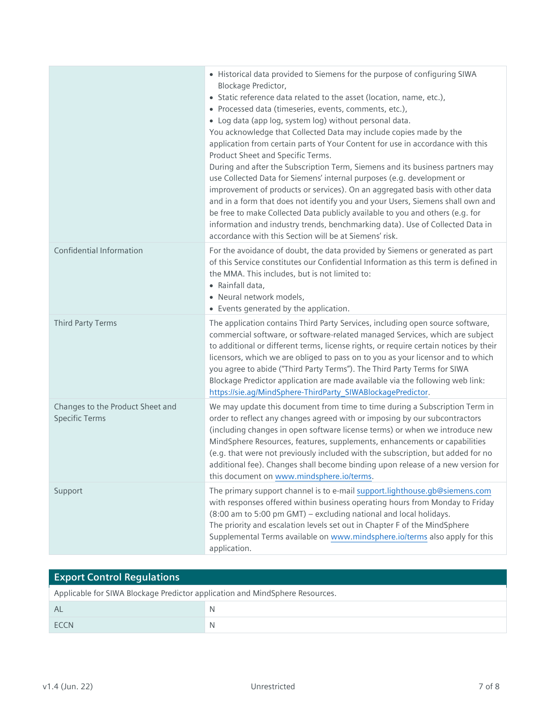|                                                           | • Historical data provided to Siemens for the purpose of configuring SIWA<br>Blockage Predictor,<br>• Static reference data related to the asset (location, name, etc.),<br>· Processed data (timeseries, events, comments, etc.),<br>• Log data (app log, system log) without personal data.<br>You acknowledge that Collected Data may include copies made by the<br>application from certain parts of Your Content for use in accordance with this<br>Product Sheet and Specific Terms.<br>During and after the Subscription Term, Siemens and its business partners may<br>use Collected Data for Siemens' internal purposes (e.g. development or<br>improvement of products or services). On an aggregated basis with other data<br>and in a form that does not identify you and your Users, Siemens shall own and<br>be free to make Collected Data publicly available to you and others (e.g. for<br>information and industry trends, benchmarking data). Use of Collected Data in<br>accordance with this Section will be at Siemens' risk. |
|-----------------------------------------------------------|-----------------------------------------------------------------------------------------------------------------------------------------------------------------------------------------------------------------------------------------------------------------------------------------------------------------------------------------------------------------------------------------------------------------------------------------------------------------------------------------------------------------------------------------------------------------------------------------------------------------------------------------------------------------------------------------------------------------------------------------------------------------------------------------------------------------------------------------------------------------------------------------------------------------------------------------------------------------------------------------------------------------------------------------------------|
| Confidential Information                                  | For the avoidance of doubt, the data provided by Siemens or generated as part<br>of this Service constitutes our Confidential Information as this term is defined in<br>the MMA. This includes, but is not limited to:<br>• Rainfall data,<br>· Neural network models,<br>• Events generated by the application.                                                                                                                                                                                                                                                                                                                                                                                                                                                                                                                                                                                                                                                                                                                                    |
| Third Party Terms                                         | The application contains Third Party Services, including open source software,<br>commercial software, or software-related managed Services, which are subject<br>to additional or different terms, license rights, or require certain notices by their<br>licensors, which we are obliged to pass on to you as your licensor and to which<br>you agree to abide ("Third Party Terms"). The Third Party Terms for SIWA<br>Blockage Predictor application are made available via the following web link:<br>https://sie.ag/MindSphere-ThirdParty_SIWABlockagePredictor.                                                                                                                                                                                                                                                                                                                                                                                                                                                                              |
| Changes to the Product Sheet and<br><b>Specific Terms</b> | We may update this document from time to time during a Subscription Term in<br>order to reflect any changes agreed with or imposing by our subcontractors<br>(including changes in open software license terms) or when we introduce new<br>MindSphere Resources, features, supplements, enhancements or capabilities<br>(e.g. that were not previously included with the subscription, but added for no<br>additional fee). Changes shall become binding upon release of a new version for<br>this document on www.mindsphere.io/terms.                                                                                                                                                                                                                                                                                                                                                                                                                                                                                                            |
| Support                                                   | The primary support channel is to e-mail support.lighthouse.gb@siemens.com<br>with responses offered within business operating hours from Monday to Friday<br>(8:00 am to 5:00 pm GMT) - excluding national and local holidays.<br>The priority and escalation levels set out in Chapter F of the MindSphere<br>Supplemental Terms available on www.mindsphere.io/terms also apply for this<br>application.                                                                                                                                                                                                                                                                                                                                                                                                                                                                                                                                                                                                                                         |

| <b>Export Control Requlations</b>                                            |   |  |
|------------------------------------------------------------------------------|---|--|
| Applicable for SIWA Blockage Predictor application and MindSphere Resources. |   |  |
| AL                                                                           |   |  |
| <b>FCCN</b>                                                                  | N |  |